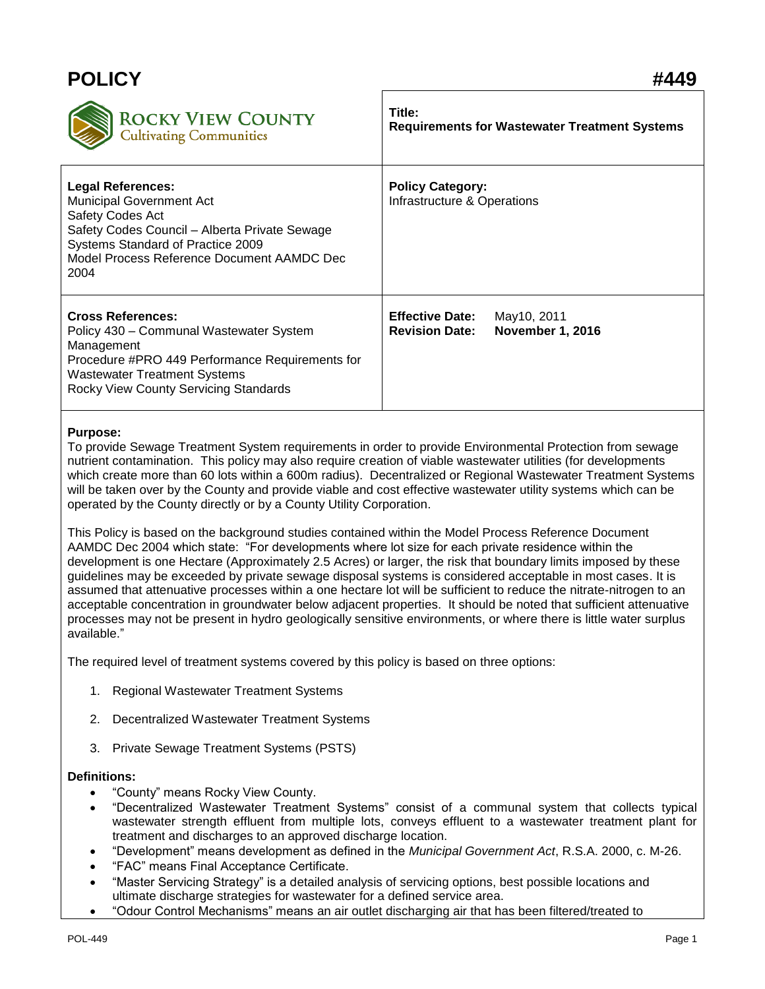| <b>POLICY</b>                                                                                                                                                                                                               | #449                                                                                      |
|-----------------------------------------------------------------------------------------------------------------------------------------------------------------------------------------------------------------------------|-------------------------------------------------------------------------------------------|
| <b>ROCKY VIEW COUNTY</b><br>Cultivating Communities                                                                                                                                                                         | Title:<br><b>Requirements for Wastewater Treatment Systems</b>                            |
| <b>Legal References:</b><br><b>Municipal Government Act</b><br>Safety Codes Act<br>Safety Codes Council - Alberta Private Sewage<br>Systems Standard of Practice 2009<br>Model Process Reference Document AAMDC Dec<br>2004 | <b>Policy Category:</b><br>Infrastructure & Operations                                    |
| <b>Cross References:</b><br>Policy 430 - Communal Wastewater System<br>Management<br>Procedure #PRO 449 Performance Requirements for<br><b>Wastewater Treatment Systems</b><br>Rocky View County Servicing Standards        | <b>Effective Date:</b><br>May10, 2011<br><b>November 1, 2016</b><br><b>Revision Date:</b> |

# **Purpose:**

To provide Sewage Treatment System requirements in order to provide Environmental Protection from sewage nutrient contamination. This policy may also require creation of viable wastewater utilities (for developments which create more than 60 lots within a 600m radius). Decentralized or Regional Wastewater Treatment Systems will be taken over by the County and provide viable and cost effective wastewater utility systems which can be operated by the County directly or by a County Utility Corporation.

This Policy is based on the background studies contained within the Model Process Reference Document AAMDC Dec 2004 which state: "For developments where lot size for each private residence within the development is one Hectare (Approximately 2.5 Acres) or larger, the risk that boundary limits imposed by these guidelines may be exceeded by private sewage disposal systems is considered acceptable in most cases. It is assumed that attenuative processes within a one hectare lot will be sufficient to reduce the nitrate-nitrogen to an acceptable concentration in groundwater below adjacent properties. It should be noted that sufficient attenuative processes may not be present in hydro geologically sensitive environments, or where there is little water surplus available."

The required level of treatment systems covered by this policy is based on three options:

- 1. Regional Wastewater Treatment Systems
- 2. Decentralized Wastewater Treatment Systems
- 3. Private Sewage Treatment Systems (PSTS)

## **Definitions:**

- "County" means Rocky View County.
- "Decentralized Wastewater Treatment Systems" consist of a communal system that collects typical wastewater strength effluent from multiple lots, conveys effluent to a wastewater treatment plant for treatment and discharges to an approved discharge location.
- "Development" means development as defined in the *Municipal Government Act*, R.S.A. 2000, c. M-26.
- "FAC" means Final Acceptance Certificate.
- "Master Servicing Strategy" is a detailed analysis of servicing options, best possible locations and ultimate discharge strategies for wastewater for a defined service area.
- "Odour Control Mechanisms" means an air outlet discharging air that has been filtered/treated to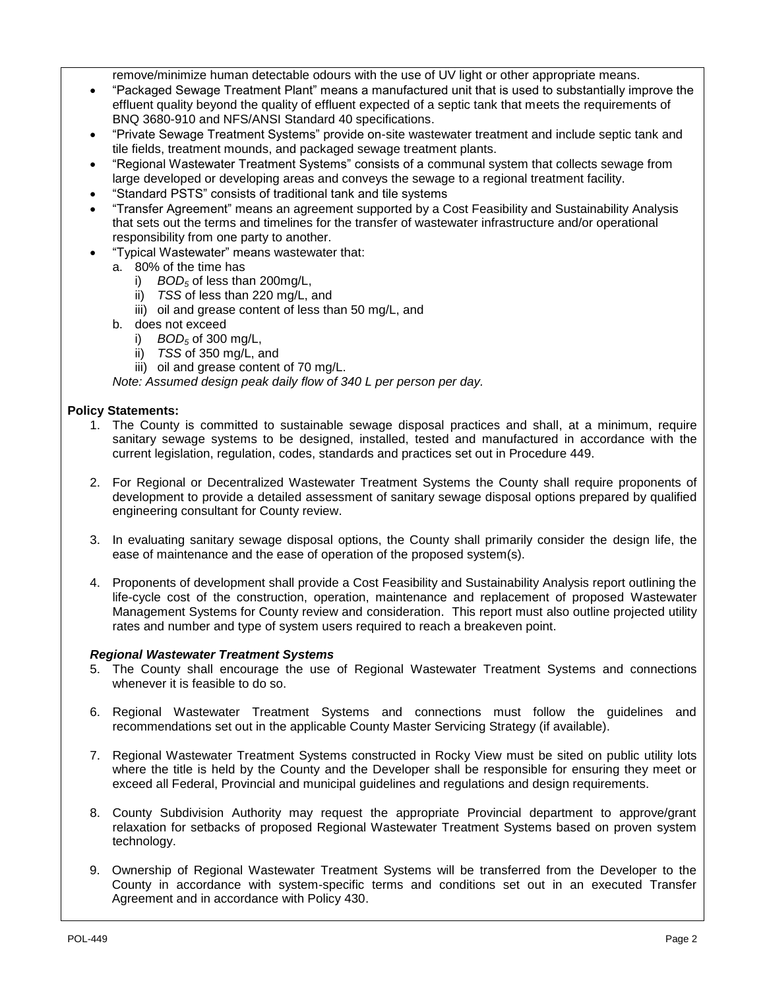remove/minimize human detectable odours with the use of UV light or other appropriate means.

- "Packaged Sewage Treatment Plant" means a manufactured unit that is used to substantially improve the effluent quality beyond the quality of effluent expected of a septic tank that meets the requirements of BNQ 3680-910 and NFS/ANSI Standard 40 specifications.
- "Private Sewage Treatment Systems" provide on-site wastewater treatment and include septic tank and tile fields, treatment mounds, and packaged sewage treatment plants.
- "Regional Wastewater Treatment Systems" consists of a communal system that collects sewage from large developed or developing areas and conveys the sewage to a regional treatment facility.
- "Standard PSTS" consists of traditional tank and tile systems
- "Transfer Agreement" means an agreement supported by a Cost Feasibility and Sustainability Analysis that sets out the terms and timelines for the transfer of wastewater infrastructure and/or operational responsibility from one party to another.
- "Typical Wastewater" means wastewater that:
	- a. 80% of the time has
		- i) *BOD<sup>5</sup>* of less than 200mg/L,
		- ii) *TSS* of less than 220 mg/L, and
		- iii) oil and grease content of less than 50 mg/L, and
	- b. does not exceed
		- i) *BOD<sup>5</sup>* of 300 mg/L,
		- ii) *TSS* of 350 mg/L, and
		- iii) oil and grease content of 70 mg/L.

*Note: Assumed design peak daily flow of 340 L per person per day.*

## **Policy Statements:**

- 1. The County is committed to sustainable sewage disposal practices and shall, at a minimum, require sanitary sewage systems to be designed, installed, tested and manufactured in accordance with the current legislation, regulation, codes, standards and practices set out in Procedure 449.
- 2. For Regional or Decentralized Wastewater Treatment Systems the County shall require proponents of development to provide a detailed assessment of sanitary sewage disposal options prepared by qualified engineering consultant for County review.
- 3. In evaluating sanitary sewage disposal options, the County shall primarily consider the design life, the ease of maintenance and the ease of operation of the proposed system(s).
- 4. Proponents of development shall provide a Cost Feasibility and Sustainability Analysis report outlining the life-cycle cost of the construction, operation, maintenance and replacement of proposed Wastewater Management Systems for County review and consideration. This report must also outline projected utility rates and number and type of system users required to reach a breakeven point.

### *Regional Wastewater Treatment Systems*

- 5. The County shall encourage the use of Regional Wastewater Treatment Systems and connections whenever it is feasible to do so.
- 6. Regional Wastewater Treatment Systems and connections must follow the guidelines and recommendations set out in the applicable County Master Servicing Strategy (if available).
- 7. Regional Wastewater Treatment Systems constructed in Rocky View must be sited on public utility lots where the title is held by the County and the Developer shall be responsible for ensuring they meet or exceed all Federal, Provincial and municipal guidelines and regulations and design requirements.
- 8. County Subdivision Authority may request the appropriate Provincial department to approve/grant relaxation for setbacks of proposed Regional Wastewater Treatment Systems based on proven system technology.
- 9. Ownership of Regional Wastewater Treatment Systems will be transferred from the Developer to the County in accordance with system-specific terms and conditions set out in an executed Transfer Agreement and in accordance with Policy 430.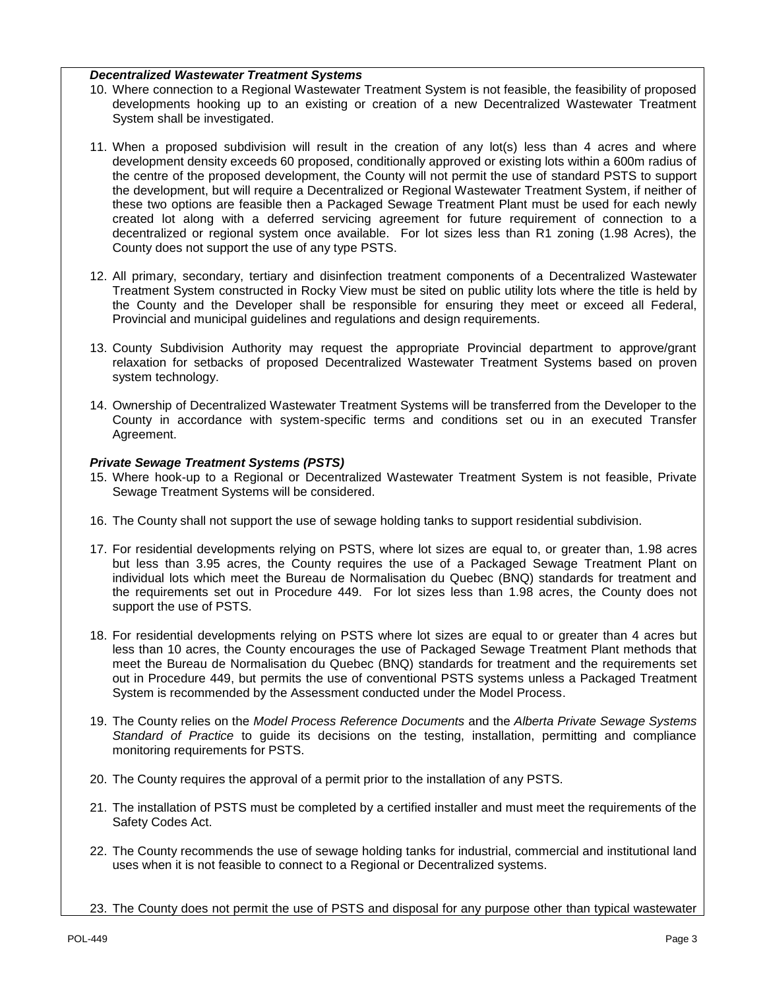### *Decentralized Wastewater Treatment Systems*

- 10. Where connection to a Regional Wastewater Treatment System is not feasible, the feasibility of proposed developments hooking up to an existing or creation of a new Decentralized Wastewater Treatment System shall be investigated.
- 11. When a proposed subdivision will result in the creation of any lot(s) less than 4 acres and where development density exceeds 60 proposed, conditionally approved or existing lots within a 600m radius of the centre of the proposed development, the County will not permit the use of standard PSTS to support the development, but will require a Decentralized or Regional Wastewater Treatment System, if neither of these two options are feasible then a Packaged Sewage Treatment Plant must be used for each newly created lot along with a deferred servicing agreement for future requirement of connection to a decentralized or regional system once available. For lot sizes less than R1 zoning (1.98 Acres), the County does not support the use of any type PSTS.
- 12. All primary, secondary, tertiary and disinfection treatment components of a Decentralized Wastewater Treatment System constructed in Rocky View must be sited on public utility lots where the title is held by the County and the Developer shall be responsible for ensuring they meet or exceed all Federal, Provincial and municipal guidelines and regulations and design requirements.
- 13. County Subdivision Authority may request the appropriate Provincial department to approve/grant relaxation for setbacks of proposed Decentralized Wastewater Treatment Systems based on proven system technology.
- 14. Ownership of Decentralized Wastewater Treatment Systems will be transferred from the Developer to the County in accordance with system-specific terms and conditions set ou in an executed Transfer Agreement.

## *Private Sewage Treatment Systems (PSTS)*

- 15. Where hook-up to a Regional or Decentralized Wastewater Treatment System is not feasible, Private Sewage Treatment Systems will be considered.
- 16. The County shall not support the use of sewage holding tanks to support residential subdivision.
- 17. For residential developments relying on PSTS, where lot sizes are equal to, or greater than, 1.98 acres but less than 3.95 acres, the County requires the use of a Packaged Sewage Treatment Plant on individual lots which meet the Bureau de Normalisation du Quebec (BNQ) standards for treatment and the requirements set out in Procedure 449. For lot sizes less than 1.98 acres, the County does not support the use of PSTS.
- 18. For residential developments relying on PSTS where lot sizes are equal to or greater than 4 acres but less than 10 acres, the County encourages the use of Packaged Sewage Treatment Plant methods that meet the Bureau de Normalisation du Quebec (BNQ) standards for treatment and the requirements set out in Procedure 449, but permits the use of conventional PSTS systems unless a Packaged Treatment System is recommended by the Assessment conducted under the Model Process.
- 19. The County relies on the *Model Process Reference Documents* and the *Alberta Private Sewage Systems Standard of Practice* to guide its decisions on the testing, installation, permitting and compliance monitoring requirements for PSTS.
- 20. The County requires the approval of a permit prior to the installation of any PSTS.
- 21. The installation of PSTS must be completed by a certified installer and must meet the requirements of the Safety Codes Act.
- 22. The County recommends the use of sewage holding tanks for industrial, commercial and institutional land uses when it is not feasible to connect to a Regional or Decentralized systems.
- 23. The County does not permit the use of PSTS and disposal for any purpose other than typical wastewater